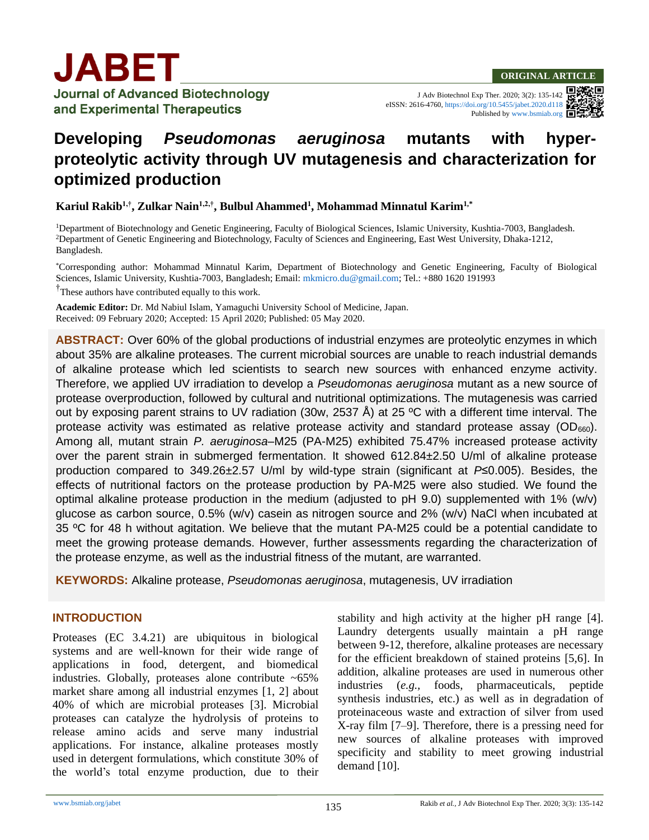

**Journal of Advanced Biotechnology** and Experimental Therapeutics

J Adv Biotechnol Exp Ther. 2020; 3(2): 135-142 eISSN: 2616-4760[, https://doi.org/10.5455/jabet.2020.d118](https://doi.org/10.5455/jabet.2020.d118) Published b[y www.bsmiab.org](http://www.bsmiab.org/)

# **Developing** *Pseudomonas aeruginosa* **mutants with hyperproteolytic activity through UV mutagenesis and characterization for optimized production**

**Kariul Rakib1,†, Zulkar Nain1,2,†, Bulbul Ahammed<sup>1</sup> , Mohammad Minnatul Karim1,\***

<sup>1</sup>Department of Biotechnology and Genetic Engineering, Faculty of Biological Sciences, Islamic University, Kushtia-7003, Bangladesh. <sup>2</sup>Department of Genetic Engineering and Biotechnology, Faculty of Sciences and Engineering, East West University, Dhaka-1212, Bangladesh.

\*Corresponding author: Mohammad Minnatul Karim, Department of Biotechnology and Genetic Engineering, Faculty of Biological Sciences, Islamic University, Kushtia-7003, Bangladesh; Email: [mkmicro.du@gmail.com;](mailto:mkmicro.du@gmail.com) Tel.: +880 1620 191993

<sup>†</sup>These authors have contributed equally to this work.

**Academic Editor:** Dr. Md Nabiul Islam, Yamaguchi University School of Medicine, Japan. Received: 09 February 2020; Accepted: 15 April 2020; Published: 05 May 2020.

**ABSTRACT:** Over 60% of the global productions of industrial enzymes are proteolytic enzymes in which about 35% are alkaline proteases. The current microbial sources are unable to reach industrial demands of alkaline protease which led scientists to search new sources with enhanced enzyme activity. Therefore, we applied UV irradiation to develop a *Pseudomonas aeruginosa* mutant as a new source of protease overproduction, followed by cultural and nutritional optimizations. The mutagenesis was carried out by exposing parent strains to UV radiation (30w, 2537 Å) at 25 ºC with a different time interval. The protease activity was estimated as relative protease activity and standard protease assay  $(OD_{660})$ . Among all, mutant strain *P. aeruginosa*–M25 (PA-M25) exhibited 75.47% increased protease activity over the parent strain in submerged fermentation. It showed 612.84±2.50 U/ml of alkaline protease production compared to 349.26±2.57 U/ml by wild-type strain (significant at *P*≤0.005). Besides, the effects of nutritional factors on the protease production by PA-M25 were also studied. We found the optimal alkaline protease production in the medium (adjusted to  $pH$  9.0) supplemented with 1% (w/v) glucose as carbon source, 0.5% (w/v) casein as nitrogen source and 2% (w/v) NaCl when incubated at 35 ºC for 48 h without agitation. We believe that the mutant PA-M25 could be a potential candidate to meet the growing protease demands. However, further assessments regarding the characterization of the protease enzyme, as well as the industrial fitness of the mutant, are warranted.

**KEYWORDS:** Alkaline protease, *Pseudomonas aeruginosa*, mutagenesis, UV irradiation

#### **INTRODUCTION**

Proteases (EC 3.4.21) are ubiquitous in biological systems and are well-known for their wide range of applications in food, detergent, and biomedical industries. Globally, proteases alone contribute  $~5\%$ market share among all industrial enzymes [1, 2] about 40% of which are microbial proteases [3]. Microbial proteases can catalyze the hydrolysis of proteins to release amino acids and serve many industrial applications. For instance, alkaline proteases mostly used in detergent formulations, which constitute 30% of the world's total enzyme production, due to their

stability and high activity at the higher pH range [4]. Laundry detergents usually maintain a pH range between 9-12, therefore, alkaline proteases are necessary for the efficient breakdown of stained proteins [5,6]. In addition, alkaline proteases are used in numerous other industries (*e.g.,* foods, pharmaceuticals, peptide synthesis industries, etc.) as well as in degradation of proteinaceous waste and extraction of silver from used X-ray film [7–9]. Therefore, there is a pressing need for new sources of alkaline proteases with improved specificity and stability to meet growing industrial demand [10].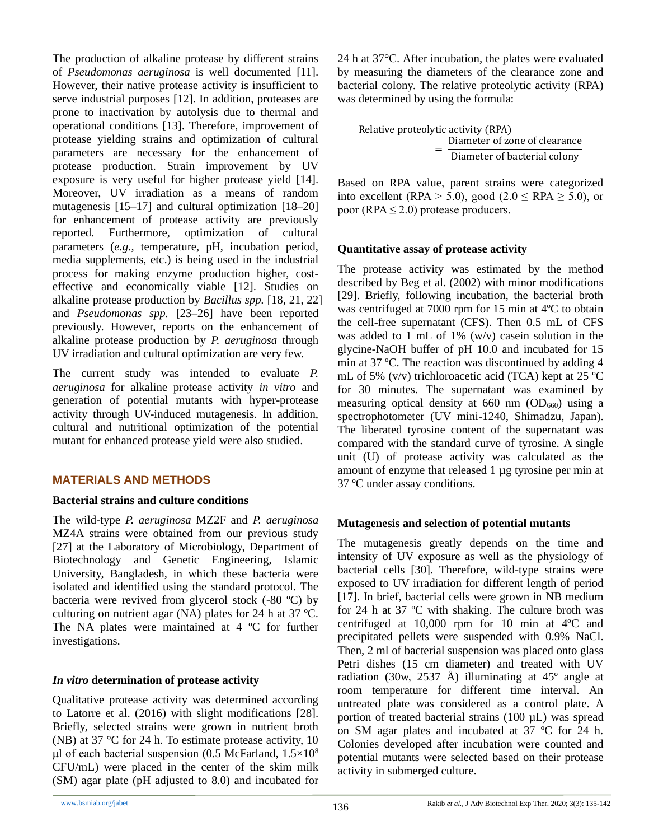The production of alkaline protease by different strains of *Pseudomonas aeruginosa* is well documented [11]. However, their native protease activity is insufficient to serve industrial purposes [12]. In addition, proteases are prone to inactivation by autolysis due to thermal and operational conditions [13]. Therefore, improvement of protease yielding strains and optimization of cultural parameters are necessary for the enhancement of protease production. Strain improvement by UV exposure is very useful for higher protease yield [14]. Moreover, UV irradiation as a means of random mutagenesis [15–17] and cultural optimization [18–20] for enhancement of protease activity are previously reported. Furthermore, optimization of cultural parameters (*e.g.,* temperature, pH, incubation period, media supplements, etc.) is being used in the industrial process for making enzyme production higher, costeffective and economically viable [12]. Studies on alkaline protease production by *Bacillus spp.* [18, 21, 22] and *Pseudomonas spp.* [23–26] have been reported previously. However, reports on the enhancement of alkaline protease production by *P. aeruginosa* through UV irradiation and cultural optimization are very few.

The current study was intended to evaluate *P. aeruginosa* for alkaline protease activity *in vitro* and generation of potential mutants with hyper-protease activity through UV-induced mutagenesis. In addition, cultural and nutritional optimization of the potential mutant for enhanced protease yield were also studied.

# **MATERIALS AND METHODS**

#### **Bacterial strains and culture conditions**

The wild-type *P. aeruginosa* MZ2F and *P. aeruginosa* MZ4A strains were obtained from our previous study [27] at the Laboratory of Microbiology, Department of Biotechnology and Genetic Engineering, Islamic University, Bangladesh, in which these bacteria were isolated and identified using the standard protocol. The bacteria were revived from glycerol stock (-80 ºC) by culturing on nutrient agar (NA) plates for 24 h at 37 ºC. The NA plates were maintained at 4 °C for further investigations.

# *In vitro* **determination of protease activity**

Qualitative protease activity was determined according to Latorre et al. (2016) with slight modifications [28]. Briefly, selected strains were grown in nutrient broth (NB) at 37 °C for 24 h. To estimate protease activity, 10 μl of each bacterial suspension (0.5 McFarland,  $1.5\times10^8$ ) CFU/mL) were placed in the center of the skim milk (SM) agar plate (pH adjusted to 8.0) and incubated for 24 h at 37°C. After incubation, the plates were evaluated by measuring the diameters of the clearance zone and bacterial colony. The relative proteolytic activity (RPA) was determined by using the formula:

Relative proteolytic activity (RPA) = Diameter of zone of clearance Diameter of bacterial colony

Based on RPA value, parent strains were categorized into excellent (RPA > 5.0), good (2.0  $\le$  RPA  $\ge$  5.0), or poor (RPA  $\leq$  2.0) protease producers.

# **Quantitative assay of protease activity**

The protease activity was estimated by the method described by Beg et al. (2002) with minor modifications [29]. Briefly, following incubation, the bacterial broth was centrifuged at 7000 rpm for 15 min at 4ºC to obtain the cell-free supernatant (CFS). Then 0.5 mL of CFS was added to 1 mL of  $1\%$  (w/v) casein solution in the glycine-NaOH buffer of pH 10.0 and incubated for 15 min at 37 ºC. The reaction was discontinued by adding 4 mL of 5% (v/v) trichloroacetic acid (TCA) kept at 25 ºC for 30 minutes. The supernatant was examined by measuring optical density at 660 nm  $(OD_{660})$  using a spectrophotometer (UV mini-1240, Shimadzu, Japan). The liberated tyrosine content of the supernatant was compared with the standard curve of tyrosine. A single unit (U) of protease activity was calculated as the amount of enzyme that released 1 µg tyrosine per min at 37 ºC under assay conditions.

# **Mutagenesis and selection of potential mutants**

The mutagenesis greatly depends on the time and intensity of UV exposure as well as the physiology of bacterial cells [30]. Therefore, wild-type strains were exposed to UV irradiation for different length of period [17]. In brief, bacterial cells were grown in NB medium for 24 h at 37 ºC with shaking. The culture broth was centrifuged at 10,000 rpm for 10 min at 4ºC and precipitated pellets were suspended with 0.9% NaCl. Then, 2 ml of bacterial suspension was placed onto glass Petri dishes (15 cm diameter) and treated with UV radiation (30w, 2537 Å) illuminating at  $45^{\circ}$  angle at room temperature for different time interval. An untreated plate was considered as a control plate. A portion of treated bacterial strains (100 µL) was spread on SM agar plates and incubated at 37 ºC for 24 h. Colonies developed after incubation were counted and potential mutants were selected based on their protease activity in submerged culture.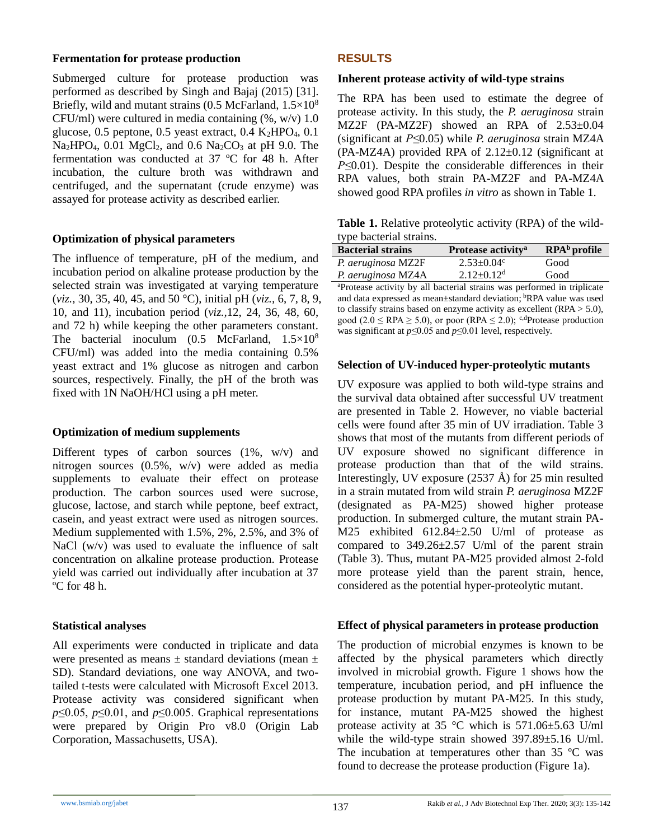#### **Fermentation for protease production**

Submerged culture for protease production was performed as described by Singh and Bajaj (2015) [31]. Briefly, wild and mutant strains (0.5 McFarland,  $1.5 \times 10^8$ ) CFU/ml) were cultured in media containing  $(\% , w/v)$  1.0 glucose, 0.5 peptone, 0.5 yeast extract, 0.4  $K_2HPO_4$ , 0.1  $Na<sub>2</sub>HPO<sub>4</sub>$ , 0.01 MgCl<sub>2</sub>, and 0.6 Na<sub>2</sub>CO<sub>3</sub> at pH 9.0. The fermentation was conducted at 37 ºC for 48 h. After incubation, the culture broth was withdrawn and centrifuged, and the supernatant (crude enzyme) was assayed for protease activity as described earlier.

# **Optimization of physical parameters**

The influence of temperature, pH of the medium, and incubation period on alkaline protease production by the selected strain was investigated at varying temperature (*viz.,* 30, 35, 40, 45, and 50 °C), initial pH (*viz.,* 6, 7, 8, 9, 10, and 11), incubation period (*viz.,*12, 24, 36, 48, 60, and 72 h) while keeping the other parameters constant. The bacterial inoculum  $(0.5 \text{McFarland}, 1.5 \times 10^8$ CFU/ml) was added into the media containing 0.5% yeast extract and 1% glucose as nitrogen and carbon sources, respectively. Finally, the pH of the broth was fixed with 1N NaOH/HCl using a pH meter.

#### **Optimization of medium supplements**

Different types of carbon sources (1%, w/v) and nitrogen sources (0.5%, w/v) were added as media supplements to evaluate their effect on protease production. The carbon sources used were sucrose, glucose, lactose, and starch while peptone, beef extract, casein, and yeast extract were used as nitrogen sources. Medium supplemented with 1.5%, 2%, 2.5%, and 3% of NaCl (w/v) was used to evaluate the influence of salt concentration on alkaline protease production. Protease yield was carried out individually after incubation at 37 ºC for 48 h.

#### **Statistical analyses**

All experiments were conducted in triplicate and data were presented as means  $\pm$  standard deviations (mean  $\pm$ SD). Standard deviations, one way ANOVA, and twotailed t-tests were calculated with Microsoft Excel 2013. Protease activity was considered significant when *p*≤0.05, *p*≤0.01, and *p*≤0.005. Graphical representations were prepared by Origin Pro v8.0 (Origin Lab Corporation, Massachusetts, USA).

# **RESULTS**

#### **Inherent protease activity of wild-type strains**

The RPA has been used to estimate the degree of protease activity. In this study, the *P. aeruginosa* strain MZ2F (PA-MZ2F) showed an RPA of 2.53±0.04 (significant at *P≤*0.05) while *P. aeruginosa* strain MZ4A (PA-MZ4A) provided RPA of  $2.12\pm0.12$  (significant at *P*≤0.01). Despite the considerable differences in their RPA values, both strain PA-MZ2F and PA-MZ4A showed good RPA profiles *in vitro* as shown in Table 1.

**Table 1.** Relative proteolytic activity (RPA) of the wildtype bacterial strains.

| <b>Bacterial strains</b> | Protease activity <sup>a</sup> | $RPAb$ profile |
|--------------------------|--------------------------------|----------------|
| P. aeruginosa MZ2F       | $2.53 \pm 0.04$ °              | Good           |
| P. aeruginosa MZ4A       | $2.12 \pm 0.12$ <sup>d</sup>   | Good           |
|                          |                                |                |

<sup>a</sup>Protease activity by all bacterial strains was performed in triplicate and data expressed as mean±standard deviation; <sup>b</sup>RPA value was used to classify strains based on enzyme activity as excellent (RPA > 5.0), good (2.0  $\le$  RPA  $\ge$  5.0), or poor (RPA  $\le$  2.0); <sup>c,d</sup>Protease production was significant at *p*≤0.05 and *p*≤0.01 level, respectively.

# **Selection of UV-induced hyper-proteolytic mutants**

UV exposure was applied to both wild-type strains and the survival data obtained after successful UV treatment are presented in Table 2. However, no viable bacterial cells were found after 35 min of UV irradiation. Table 3 shows that most of the mutants from different periods of UV exposure showed no significant difference in protease production than that of the wild strains. Interestingly, UV exposure (2537 Å) for 25 min resulted in a strain mutated from wild strain *P. aeruginosa* MZ2F (designated as PA-M25) showed higher protease production. In submerged culture, the mutant strain PA-M25 exhibited 612.84±2.50 U/ml of protease as compared to  $349.26 \pm 2.57$  U/ml of the parent strain (Table 3). Thus, mutant PA-M25 provided almost 2-fold more protease yield than the parent strain, hence, considered as the potential hyper-proteolytic mutant.

#### **Effect of physical parameters in protease production**

The production of microbial enzymes is known to be affected by the physical parameters which directly involved in microbial growth. Figure 1 shows how the temperature, incubation period, and pH influence the protease production by mutant PA-M25. In this study, for instance, mutant PA-M25 showed the highest protease activity at 35 °C which is 571.06±5.63 U/ml while the wild-type strain showed 397.89±5.16 U/ml. The incubation at temperatures other than 35 °C was found to decrease the protease production (Figure 1a).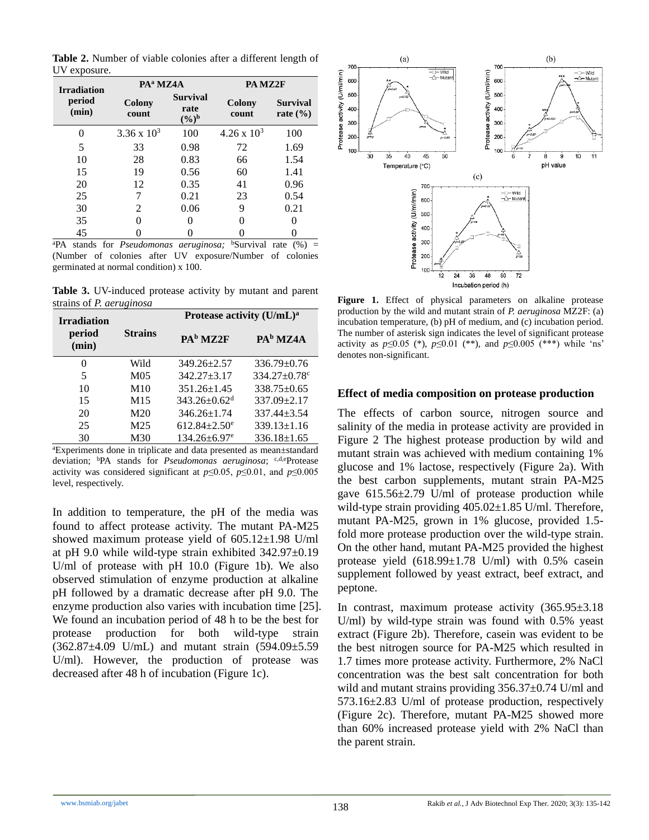**Table 2.** Number of viable colonies after a different length of UV exposure.

| <b>Irradiation</b> | PA <sup>a</sup> MZ4A |                                              | PA MZ2F              |                                 |
|--------------------|----------------------|----------------------------------------------|----------------------|---------------------------------|
| period<br>(min)    | Colony<br>count      | <b>Survival</b><br>rate<br>$(\frac{6}{9})^b$ | Colony<br>count      | <b>Survival</b><br>rate $(\% )$ |
| 0                  | $3.36 \times 10^3$   | 100                                          | $4.26 \times 10^{3}$ | 100                             |
| 5                  | 33                   | 0.98                                         | 72                   | 1.69                            |
| 10                 | 28                   | 0.83                                         | 66                   | 1.54                            |
| 15                 | 19                   | 0.56                                         | 60                   | 1.41                            |
| 20                 | 12                   | 0.35                                         | 41                   | 0.96                            |
| 25                 | 7                    | 0.21                                         | 23                   | 0.54                            |
| 30                 | 2                    | 0.06                                         | 9                    | 0.21                            |
| 35                 |                      |                                              |                      |                                 |
| 45                 |                      |                                              | $\mathbf{1}$         |                                 |

<sup>a</sup>PA stands for *Pseudomonas aeruginosa*; <sup>b</sup>Survival rate (%) = (Number of colonies after UV exposure/Number of colonies germinated at normal condition) x 100.

**Table 3.** UV-induced protease activity by mutant and parent strains of *P. aeruginosa*

| <b>Irradiation</b> | ີ               | Protease activity (U/mL) <sup>a</sup> |                                |  |
|--------------------|-----------------|---------------------------------------|--------------------------------|--|
| period<br>(min)    | <b>Strains</b>  | PA <sup>b</sup> MZ2F                  | PA <sup>b</sup> MZ4A           |  |
| $\Omega$           | Wild            | $349.26 \pm 2.57$                     | $336.79 \pm 0.76$              |  |
| 5                  | M <sub>05</sub> | $342.27 + 3.17$                       | $334.27 \pm 0.78$ <sup>c</sup> |  |
| 10                 | M10             | $351.26 \pm 1.45$                     | $338.75 \pm 0.65$              |  |
| 15                 | M <sub>15</sub> | $343.26 \pm 0.62$ <sup>d</sup>        | $337.09 + 2.17$                |  |
| 20                 | M <sub>20</sub> | $346.26 \pm 1.74$                     | $337.44 + 3.54$                |  |
| 25                 | M <sub>25</sub> | $612.84 \pm 2.50$ <sup>e</sup>        | $339.13 \pm 1.16$              |  |
| 30                 | M <sub>30</sub> | $134.26 \pm 6.97$ <sup>e</sup>        | $336.18 \pm 1.65$              |  |

<sup>a</sup>Experiments done in triplicate and data presented as mean±standard deviation; <sup>b</sup>PA stands for *Pseudomonas aeruginosa*; <sup>c,d,e</sup>Protease activity was considered significant at  $p \le 0.05$ ,  $p \le 0.01$ , and  $p \le 0.005$ level, respectively.

In addition to temperature, the pH of the media was found to affect protease activity. The mutant PA-M25 showed maximum protease yield of 605.12±1.98 U/ml at pH 9.0 while wild-type strain exhibited 342.97±0.19 U/ml of protease with pH 10.0 (Figure 1b). We also observed stimulation of enzyme production at alkaline pH followed by a dramatic decrease after pH 9.0. The enzyme production also varies with incubation time [25]. We found an incubation period of 48 h to be the best for protease production for both wild-type strain (362.87±4.09 U/mL) and mutant strain (594.09±5.59 U/ml). However, the production of protease was decreased after 48 h of incubation (Figure 1c).



**Figure 1.** Effect of physical parameters on alkaline protease production by the wild and mutant strain of *P. aeruginosa* MZ2F: (a) incubation temperature, (b) pH of medium, and (c) incubation period. The number of asterisk sign indicates the level of significant protease activity as  $p \le 0.05$  (\*),  $p \le 0.01$  (\*\*), and  $p \le 0.005$  (\*\*\*) while 'ns' denotes non-significant.

#### **Effect of media composition on protease production**

The effects of carbon source, nitrogen source and salinity of the media in protease activity are provided in Figure 2 The highest protease production by wild and mutant strain was achieved with medium containing 1% glucose and 1% lactose, respectively (Figure 2a). With the best carbon supplements, mutant strain PA-M25 gave 615.56±2.79 U/ml of protease production while wild-type strain providing  $405.02 \pm 1.85$  U/ml. Therefore, mutant PA-M25, grown in 1% glucose, provided 1.5 fold more protease production over the wild-type strain. On the other hand, mutant PA-M25 provided the highest protease yield  $(618.99 \pm 1.78 \text{ U/ml})$  with 0.5% casein supplement followed by yeast extract, beef extract, and peptone.

In contrast, maximum protease activity (365.95±3.18 U/ml) by wild-type strain was found with 0.5% yeast extract (Figure 2b). Therefore, casein was evident to be the best nitrogen source for PA-M25 which resulted in 1.7 times more protease activity. Furthermore, 2% NaCl concentration was the best salt concentration for both wild and mutant strains providing  $356.37 \pm 0.74$  U/ml and 573.16±2.83 U/ml of protease production, respectively (Figure 2c). Therefore, mutant PA-M25 showed more than 60% increased protease yield with 2% NaCl than the parent strain.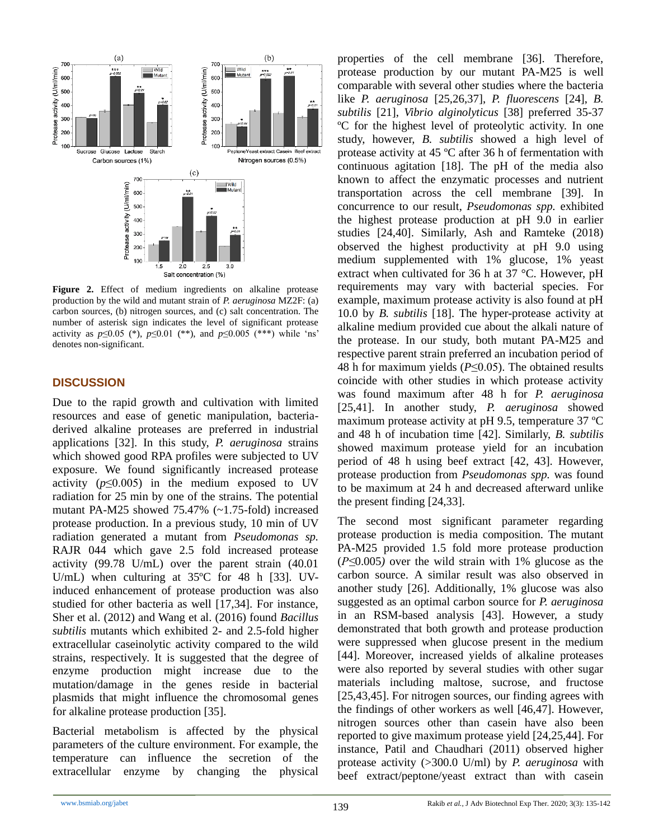

**Figure 2.** Effect of medium ingredients on alkaline protease production by the wild and mutant strain of *P. aeruginosa* MZ2F: (a) carbon sources, (b) nitrogen sources, and (c) salt concentration. The number of asterisk sign indicates the level of significant protease activity as  $p \le 0.05$  (\*),  $p \le 0.01$  (\*\*), and  $p \le 0.005$  (\*\*\*) while 'ns' denotes non-significant.

# **DISCUSSION**

Due to the rapid growth and cultivation with limited resources and ease of genetic manipulation, bacteriaderived alkaline proteases are preferred in industrial applications [32]. In this study, *P. aeruginosa* strains which showed good RPA profiles were subjected to UV exposure. We found significantly increased protease activity  $(p \le 0.005)$  in the medium exposed to UV radiation for 25 min by one of the strains. The potential mutant PA-M25 showed 75.47% (~1.75-fold) increased protease production. In a previous study, 10 min of UV radiation generated a mutant from *Pseudomonas sp.*  RAJR 044 which gave 2.5 fold increased protease activity (99.78 U/mL) over the parent strain (40.01 U/mL) when culturing at 35ºC for 48 h [33]. UVinduced enhancement of protease production was also studied for other bacteria as well [17,34]. For instance, Sher et al. (2012) and Wang et al. (2016) found *Bacillus subtilis* mutants which exhibited 2- and 2.5-fold higher extracellular caseinolytic activity compared to the wild strains, respectively. It is suggested that the degree of enzyme production might increase due to the mutation/damage in the genes reside in bacterial plasmids that might influence the chromosomal genes for alkaline protease production [35].

Bacterial metabolism is affected by the physical parameters of the culture environment. For example, the temperature can influence the secretion of the extracellular enzyme by changing the physical

properties of the cell membrane [36]. Therefore, protease production by our mutant PA-M25 is well comparable with several other studies where the bacteria like *P. aeruginosa* [25,26,37], *P. fluorescens* [24], *B. subtilis* [21], *Vibrio alginolyticus* [38] preferred 35-37 ºC for the highest level of proteolytic activity. In one study, however, *B. subtilis* showed a high level of protease activity at 45 ºC after 36 h of fermentation with continuous agitation [18]. The pH of the media also known to affect the enzymatic processes and nutrient transportation across the cell membrane [39]. In concurrence to our result, *Pseudomonas spp.* exhibited the highest protease production at pH 9.0 in earlier studies [24,40]. Similarly, Ash and Ramteke (2018) observed the highest productivity at pH 9.0 using medium supplemented with 1% glucose, 1% yeast extract when cultivated for 36 h at 37 °C. However, pH requirements may vary with bacterial species. For example, maximum protease activity is also found at pH 10.0 by *B. subtilis* [18]. The hyper-protease activity at alkaline medium provided cue about the alkali nature of the protease. In our study, both mutant PA-M25 and respective parent strain preferred an incubation period of 48 h for maximum yields (*P*≤0.05). The obtained results coincide with other studies in which protease activity was found maximum after 48 h for *P. aeruginosa* [25,41]. In another study, *P. aeruginosa* showed maximum protease activity at pH 9.5, temperature 37 ºC and 48 h of incubation time [42]. Similarly, *B. subtilis* showed maximum protease yield for an incubation period of 48 h using beef extract [42, 43]. However, protease production from *Pseudomonas spp.* was found to be maximum at 24 h and decreased afterward unlike the present finding [24,33].

The second most significant parameter regarding protease production is media composition. The mutant PA-M25 provided 1.5 fold more protease production (*P≤*0.005*)* over the wild strain with 1% glucose as the carbon source. A similar result was also observed in another study [26]. Additionally, 1% glucose was also suggested as an optimal carbon source for *P. aeruginosa* in an RSM-based analysis [43]. However, a study demonstrated that both growth and protease production were suppressed when glucose present in the medium [44]. Moreover, increased yields of alkaline proteases were also reported by several studies with other sugar materials including maltose, sucrose, and fructose [25,43,45]. For nitrogen sources, our finding agrees with the findings of other workers as well [46,47]. However, nitrogen sources other than casein have also been reported to give maximum protease yield [24,25,44]. For instance, Patil and Chaudhari (2011) observed higher protease activity (>300.0 U/ml) by *P. aeruginosa* with beef extract/peptone/yeast extract than with casein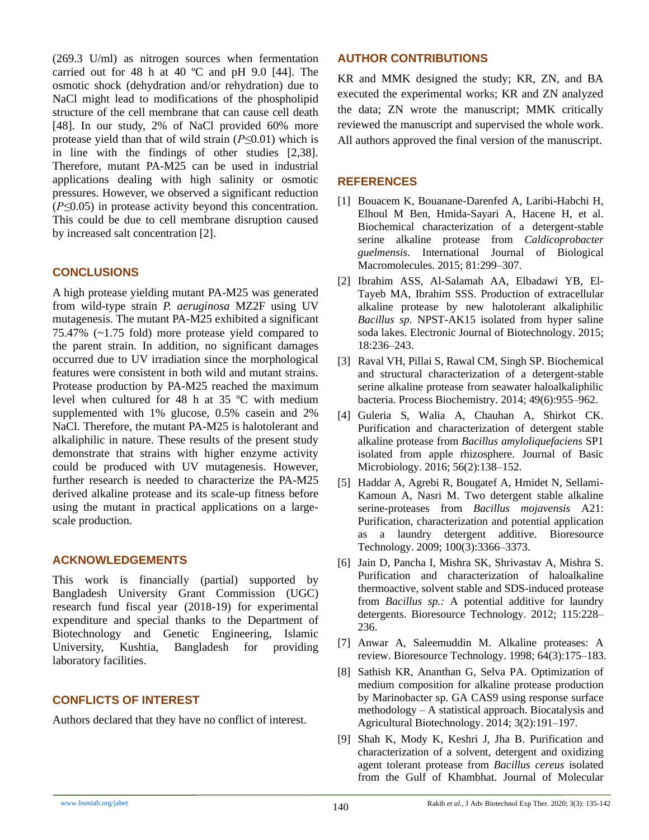(269.3 U/ml) as nitrogen sources when fermentation carried out for 48 h at 40  $^{\circ}$ C and pH 9.0 [44]. The osmotic shock (dehydration and/or rehydration) due to NaCl might lead to modifications of the phospholipid structure of the cell membrane that can cause cell death [48]. In our study, 2% of NaCl provided 60% more protease yield than that of wild strain (*P≤*0.01) which is in line with the findings of other studies [2,38]. Therefore, mutant PA-M25 can be used in industrial applications dealing with high salinity or osmotic pressures. However, we observed a significant reduction (*P≤*0.05) in protease activity beyond this concentration. This could be due to cell membrane disruption caused by increased salt concentration [2].

# **CONCLUSIONS**

A high protease yielding mutant PA-M25 was generated from wild-type strain *P. aeruginosa* MZ2F using UV mutagenesis. The mutant PA-M25 exhibited a significant 75.47% (~1.75 fold) more protease yield compared to the parent strain. In addition, no significant damages occurred due to UV irradiation since the morphological features were consistent in both wild and mutant strains. Protease production by PA-M25 reached the maximum level when cultured for 48 h at 35 ºC with medium supplemented with 1% glucose, 0.5% casein and 2% NaCl. Therefore, the mutant PA-M25 is halotolerant and alkaliphilic in nature. These results of the present study demonstrate that strains with higher enzyme activity could be produced with UV mutagenesis. However, further research is needed to characterize the PA-M25 derived alkaline protease and its scale-up fitness before using the mutant in practical applications on a largescale production.

# **ACKNOWLEDGEMENTS**

This work is financially (partial) supported by Bangladesh University Grant Commission (UGC) research fund fiscal year (2018-19) for experimental expenditure and special thanks to the Department of Biotechnology and Genetic Engineering, Islamic University, Kushtia, Bangladesh for providing laboratory facilities.

# **CONFLICTS OF INTEREST**

Authors declared that they have no conflict of interest.

# **AUTHOR CONTRIBUTIONS**

KR and MMK designed the study; KR, ZN, and BA executed the experimental works; KR and ZN analyzed the data; ZN wrote the manuscript; MMK critically reviewed the manuscript and supervised the whole work. All authors approved the final version of the manuscript.

# **REFERENCES**

- [1] Bouacem K, Bouanane-Darenfed A, Laribi-Habchi H, Elhoul M Ben, Hmida-Sayari A, Hacene H, et al. Biochemical characterization of a detergent-stable serine alkaline protease from *Caldicoprobacter guelmensis*. International Journal of Biological Macromolecules. 2015; 81:299–307.
- [2] Ibrahim ASS, Al-Salamah AA, Elbadawi YB, El-Tayeb MA, Ibrahim SSS. Production of extracellular alkaline protease by new halotolerant alkaliphilic *Bacillus sp.* NPST-AK15 isolated from hyper saline soda lakes. Electronic Journal of Biotechnology. 2015; 18:236–243.
- [3] Raval VH, Pillai S, Rawal CM, Singh SP. Biochemical and structural characterization of a detergent-stable serine alkaline protease from seawater haloalkaliphilic bacteria. Process Biochemistry. 2014; 49(6):955–962.
- [4] Guleria S, Walia A, Chauhan A, Shirkot CK. Purification and characterization of detergent stable alkaline protease from *Bacillus amyloliquefaciens* SP1 isolated from apple rhizosphere. Journal of Basic Microbiology. 2016; 56(2):138–152.
- [5] Haddar A, Agrebi R, Bougatef A, Hmidet N, Sellami-Kamoun A, Nasri M. Two detergent stable alkaline serine-proteases from *Bacillus mojavensis* A21: Purification, characterization and potential application as a laundry detergent additive. Bioresource Technology. 2009; 100(3):3366–3373.
- [6] Jain D, Pancha I, Mishra SK, Shrivastav A, Mishra S. Purification and characterization of haloalkaline thermoactive, solvent stable and SDS-induced protease from *Bacillus sp.:* A potential additive for laundry detergents. Bioresource Technology. 2012; 115:228– 236.
- [7] Anwar A, Saleemuddin M. Alkaline proteases: A review. Bioresource Technology. 1998; 64(3):175–183.
- [8] Sathish KR, Ananthan G, Selva PA. Optimization of medium composition for alkaline protease production by Marinobacter sp. GA CAS9 using response surface methodology – A statistical approach. Biocatalysis and Agricultural Biotechnology. 2014; 3(2):191–197.
- [9] Shah K, Mody K, Keshri J, Jha B. Purification and characterization of a solvent, detergent and oxidizing agent tolerant protease from *Bacillus cereus* isolated from the Gulf of Khambhat. Journal of Molecular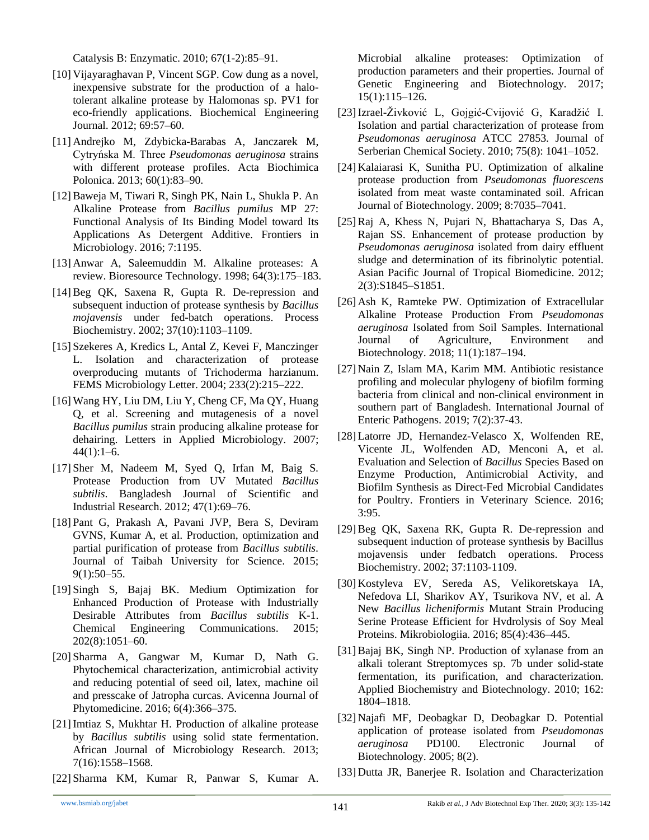Catalysis B: Enzymatic. 2010; 67(1-2):85–91.

- [10] Vijayaraghavan P, Vincent SGP. Cow dung as a novel, inexpensive substrate for the production of a halotolerant alkaline protease by Halomonas sp. PV1 for eco-friendly applications. Biochemical Engineering Journal. 2012; 69:57–60.
- [11] Andrejko M, Zdybicka-Barabas A, Janczarek M, Cytryńska M. Three *Pseudomonas aeruginosa* strains with different protease profiles. Acta Biochimica Polonica. 2013; 60(1):83–90.
- [12]Baweja M, Tiwari R, Singh PK, Nain L, Shukla P. An Alkaline Protease from *Bacillus pumilus* MP 27: Functional Analysis of Its Binding Model toward Its Applications As Detergent Additive. Frontiers in Microbiology. 2016; 7:1195.
- [13] Anwar A, Saleemuddin M. Alkaline proteases: A review. Bioresource Technology. 1998; 64(3):175–183.
- [14]Beg QK, Saxena R, Gupta R. De-repression and subsequent induction of protease synthesis by *Bacillus mojavensis* under fed-batch operations. Process Biochemistry. 2002; 37(10):1103–1109.
- [15] Szekeres A, Kredics L, Antal Z, Kevei F, Manczinger L. Isolation and characterization of protease overproducing mutants of Trichoderma harzianum. FEMS Microbiology Letter. 2004; 233(2):215–222.
- [16] Wang HY, Liu DM, Liu Y, Cheng CF, Ma QY, Huang Q, et al. Screening and mutagenesis of a novel *Bacillus pumilus* strain producing alkaline protease for dehairing. Letters in Applied Microbiology. 2007;  $44(1):1-6.$
- [17] Sher M, Nadeem M, Syed Q, Irfan M, Baig S. Protease Production from UV Mutated *Bacillus subtilis*. Bangladesh Journal of Scientific and Industrial Research. 2012; 47(1):69–76.
- [18] Pant G, Prakash A, Pavani JVP, Bera S, Deviram GVNS, Kumar A, et al. Production, optimization and partial purification of protease from *Bacillus subtilis*. Journal of Taibah University for Science. 2015; 9(1):50–55.
- [19] Singh S, Bajaj BK. Medium Optimization for Enhanced Production of Protease with Industrially Desirable Attributes from *Bacillus subtilis* K-1. Chemical Engineering Communications. 2015; 202(8):1051–60.
- [20] Sharma A, Gangwar M, Kumar D, Nath G. Phytochemical characterization, antimicrobial activity and reducing potential of seed oil, latex, machine oil and presscake of Jatropha curcas. Avicenna Journal of Phytomedicine. 2016; 6(4):366–375.
- [21] Imtiaz S, Mukhtar H. Production of alkaline protease by *Bacillus subtilis* using solid state fermentation. African Journal of Microbiology Research. 2013; 7(16):1558–1568.
- [22] Sharma KM, Kumar R, Panwar S, Kumar A.

Microbial alkaline proteases: Optimization of production parameters and their properties. Journal of Genetic Engineering and Biotechnology. 2017; 15(1):115–126.

- [23]Izrael-Živković L, Gojgić-Cvijović G, Karadžić I. Isolation and partial characterization of protease from *Pseudomonas aeruginosa* ATCC 27853. Journal of Serberian Chemical Society. 2010; 75(8): 1041–1052.
- [24] Kalaiarasi K, Sunitha PU. Optimization of alkaline protease production from *Pseudomonas fluorescens* isolated from meat waste contaminated soil. African Journal of Biotechnology. 2009; 8:7035–7041.
- [25]Raj A, Khess N, Pujari N, Bhattacharya S, Das A, Rajan SS. Enhancement of protease production by *Pseudomonas aeruginosa* isolated from dairy effluent sludge and determination of its fibrinolytic potential. Asian Pacific Journal of Tropical Biomedicine. 2012; 2(3):S1845–S1851.
- [26] Ash K, Ramteke PW. Optimization of Extracellular Alkaline Protease Production From *Pseudomonas aeruginosa* Isolated from Soil Samples. International Journal of Agriculture, Environment and Biotechnology. 2018; 11(1):187–194.
- [27] Nain Z, Islam MA, Karim MM. Antibiotic resistance profiling and molecular phylogeny of biofilm forming bacteria from clinical and non-clinical environment in southern part of Bangladesh. International Journal of Enteric Pathogens. 2019; 7(2):37-43.
- [28] Latorre JD, Hernandez-Velasco X, Wolfenden RE, Vicente JL, Wolfenden AD, Menconi A, et al. Evaluation and Selection of *Bacillus* Species Based on Enzyme Production, Antimicrobial Activity, and Biofilm Synthesis as Direct-Fed Microbial Candidates for Poultry. Frontiers in Veterinary Science. 2016; 3:95.
- [29]Beg QK, Saxena RK, Gupta R. De-repression and subsequent induction of protease synthesis by Bacillus mojavensis under fedbatch operations. Process Biochemistry. 2002; 37:1103-1109.
- [30] Kostyleva EV, Sereda AS, Velikoretskaya IA, Nefedova LI, Sharikov AY, Tsurikova NV, et al. A New *Bacillus licheniformis* Mutant Strain Producing Serine Protease Efficient for Hvdrolysis of Soy Meal Proteins. Mikrobiologiia. 2016; 85(4):436–445.
- [31]Bajaj BK, Singh NP. Production of xylanase from an alkali tolerant Streptomyces sp. 7b under solid-state fermentation, its purification, and characterization. Applied Biochemistry and Biotechnology. 2010; 162: 1804–1818.
- [32] Najafi MF, Deobagkar D, Deobagkar D. Potential application of protease isolated from *Pseudomonas aeruginosa* PD100. Electronic Journal of Biotechnology. 2005; 8(2).
- [33] Dutta JR, Banerjee R. Isolation and Characterization